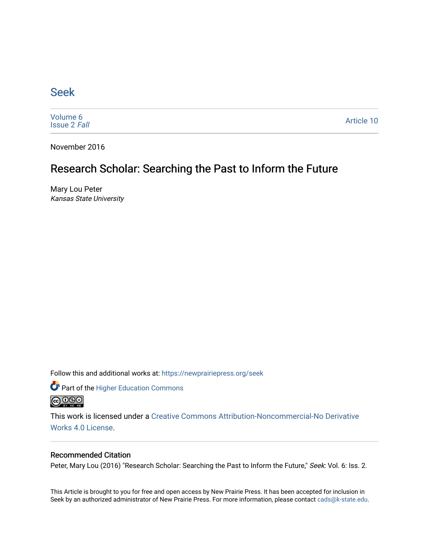## [Seek](https://newprairiepress.org/seek)

[Volume 6](https://newprairiepress.org/seek/vol6) [Issue 2](https://newprairiepress.org/seek/vol6/iss2) Fall

[Article 10](https://newprairiepress.org/seek/vol6/iss2/10) 

November 2016

## Research Scholar: Searching the Past to Inform the Future

Mary Lou Peter Kansas State University

Follow this and additional works at: [https://newprairiepress.org/seek](https://newprairiepress.org/seek?utm_source=newprairiepress.org%2Fseek%2Fvol6%2Fiss2%2F10&utm_medium=PDF&utm_campaign=PDFCoverPages)

Part of the [Higher Education Commons](http://network.bepress.com/hgg/discipline/1245?utm_source=newprairiepress.org%2Fseek%2Fvol6%2Fiss2%2F10&utm_medium=PDF&utm_campaign=PDFCoverPages) 



This work is licensed under a [Creative Commons Attribution-Noncommercial-No Derivative](https://creativecommons.org/licenses/by-nc-nd/4.0/)  [Works 4.0 License](https://creativecommons.org/licenses/by-nc-nd/4.0/).

#### Recommended Citation

Peter, Mary Lou (2016) "Research Scholar: Searching the Past to Inform the Future," Seek: Vol. 6: Iss. 2.

This Article is brought to you for free and open access by New Prairie Press. It has been accepted for inclusion in Seek by an authorized administrator of New Prairie Press. For more information, please contact [cads@k-state.edu](mailto:cads@k-state.edu).